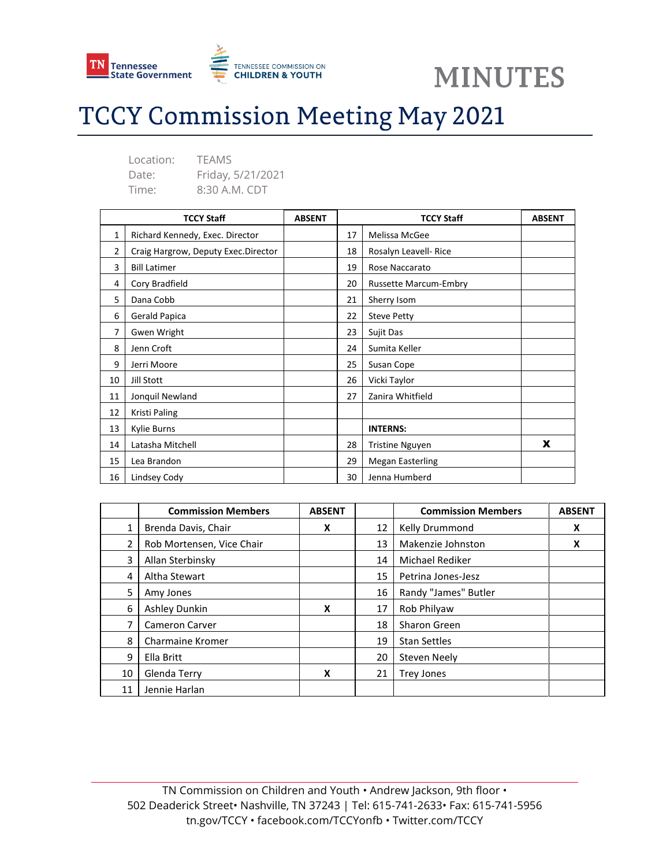

**MINUTES** 

# **TCCY Commission Meeting May 2021**

| Location: | <b>TFAMS</b>      |
|-----------|-------------------|
| Date:     | Friday, 5/21/2021 |
| Time:     | 8:30 A.M. CDT     |

| <b>TCCY Staff</b> |                                     | <b>ABSENT</b> | <b>TCCY Staff</b> |                              | <b>ABSENT</b> |
|-------------------|-------------------------------------|---------------|-------------------|------------------------------|---------------|
| 1                 | Richard Kennedy, Exec. Director     |               | 17                | Melissa McGee                |               |
| 2                 | Craig Hargrow, Deputy Exec.Director |               | 18                | Rosalyn Leavell- Rice        |               |
| 3                 | <b>Bill Latimer</b>                 |               | 19                | Rose Naccarato               |               |
| 4                 | Cory Bradfield                      |               | 20                | <b>Russette Marcum-Embry</b> |               |
| 5                 | Dana Cobb                           |               | 21                | Sherry Isom                  |               |
| 6                 | Gerald Papica                       |               | 22                | <b>Steve Petty</b>           |               |
| 7                 | Gwen Wright                         |               | 23                | Sujit Das                    |               |
| 8                 | Jenn Croft                          |               | 24                | Sumita Keller                |               |
| 9                 | Jerri Moore                         |               | 25                | Susan Cope                   |               |
| 10                | Jill Stott                          |               | 26                | Vicki Taylor                 |               |
| 11                | Jonquil Newland                     |               | 27                | Zanira Whitfield             |               |
| 12                | Kristi Paling                       |               |                   |                              |               |
| 13                | Kylie Burns                         |               |                   | <b>INTERNS:</b>              |               |
| 14                | Latasha Mitchell                    |               | 28                | <b>Tristine Nguyen</b>       | X             |
| 15                | Lea Brandon                         |               | 29                | <b>Megan Easterling</b>      |               |
| 16                | Lindsey Cody                        |               | 30                | Jenna Humberd                |               |

|    | <b>Commission Members</b> | <b>ABSENT</b> |    | <b>Commission Members</b> | <b>ABSENT</b> |
|----|---------------------------|---------------|----|---------------------------|---------------|
| 1  | Brenda Davis, Chair       | X             | 12 | Kelly Drummond            | X             |
| 2  | Rob Mortensen, Vice Chair |               | 13 | Makenzie Johnston         | X             |
| 3  | Allan Sterbinsky          |               | 14 | Michael Rediker           |               |
| 4  | Altha Stewart             |               | 15 | Petrina Jones-Jesz        |               |
| 5  | Amy Jones                 |               | 16 | Randy "James" Butler      |               |
| 6  | Ashley Dunkin             | X             | 17 | Rob Philyaw               |               |
| 7  | <b>Cameron Carver</b>     |               | 18 | <b>Sharon Green</b>       |               |
| 8  | Charmaine Kromer          |               | 19 | <b>Stan Settles</b>       |               |
| 9  | Ella Britt                |               | 20 | Steven Neely              |               |
| 10 | Glenda Terry              | X             | 21 | <b>Trey Jones</b>         |               |
| 11 | Jennie Harlan             |               |    |                           |               |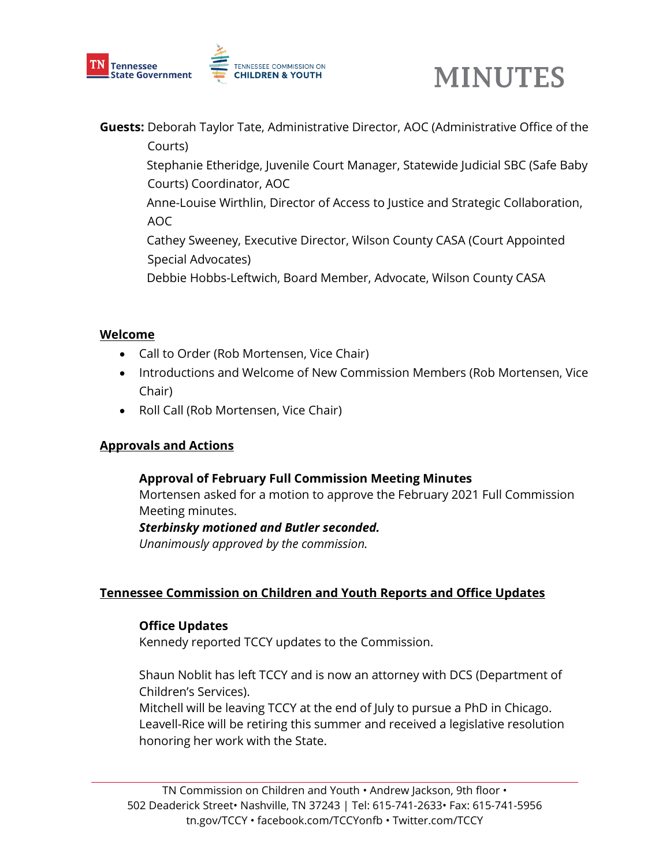



**Guests:** Deborah Taylor Tate, Administrative Director, AOC (Administrative Office of the Courts)

 Stephanie Etheridge, Juvenile Court Manager, Statewide Judicial SBC (Safe Baby Courts) Coordinator, AOC

 Anne-Louise Wirthlin, Director of Access to Justice and Strategic Collaboration, AOC

 Cathey Sweeney, Executive Director, Wilson County CASA (Court Appointed Special Advocates)

Debbie Hobbs-Leftwich, Board Member, Advocate, Wilson County CASA

### **Welcome**

- Call to Order (Rob Mortensen, Vice Chair)
- Introductions and Welcome of New Commission Members (Rob Mortensen, Vice Chair)
- Roll Call (Rob Mortensen, Vice Chair)

## **Approvals and Actions**

#### **Approval of February Full Commission Meeting Minutes**

Mortensen asked for a motion to approve the February 2021 Full Commission Meeting minutes.

*Sterbinsky motioned and Butler seconded.*

*Unanimously approved by the commission.* 

## **Tennessee Commission on Children and Youth Reports and Office Updates**

#### **Office Updates**

Kennedy reported TCCY updates to the Commission.

Shaun Noblit has left TCCY and is now an attorney with DCS (Department of Children's Services).

Mitchell will be leaving TCCY at the end of July to pursue a PhD in Chicago. Leavell-Rice will be retiring this summer and received a legislative resolution honoring her work with the State.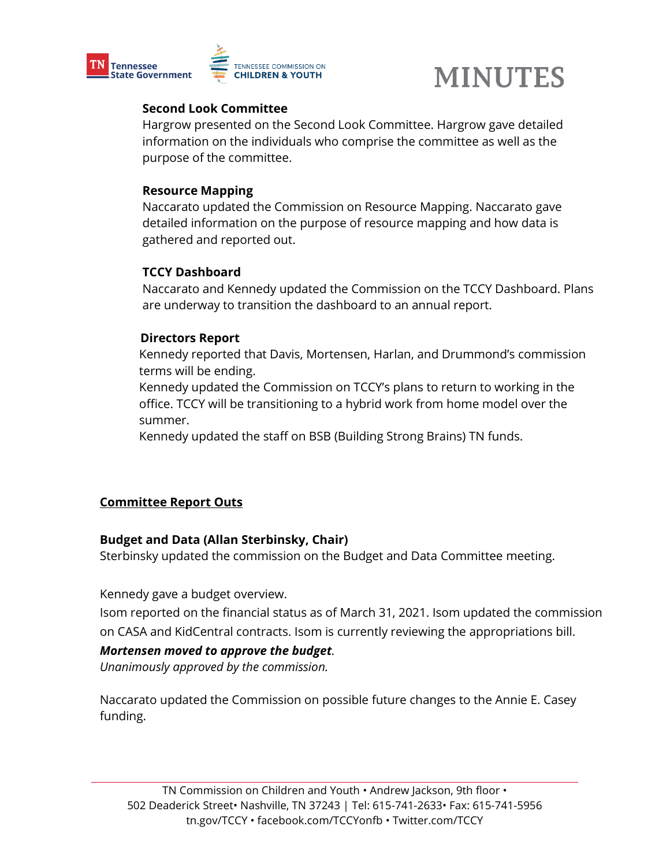



### **Second Look Committee**

Hargrow presented on the Second Look Committee. Hargrow gave detailed information on the individuals who comprise the committee as well as the purpose of the committee.

#### **Resource Mapping**

Naccarato updated the Commission on Resource Mapping. Naccarato gave detailed information on the purpose of resource mapping and how data is gathered and reported out.

### **TCCY Dashboard**

Naccarato and Kennedy updated the Commission on the TCCY Dashboard. Plans are underway to transition the dashboard to an annual report.

### **Directors Report**

Kennedy reported that Davis, Mortensen, Harlan, and Drummond's commission terms will be ending.

Kennedy updated the Commission on TCCY's plans to return to working in the office. TCCY will be transitioning to a hybrid work from home model over the summer.

Kennedy updated the staff on BSB (Building Strong Brains) TN funds.

## **Committee Report Outs**

#### **Budget and Data (Allan Sterbinsky, Chair)**

Sterbinsky updated the commission on the Budget and Data Committee meeting.

Kennedy gave a budget overview.

Isom reported on the financial status as of March 31, 2021. Isom updated the commission on CASA and KidCentral contracts. Isom is currently reviewing the appropriations bill.

## *Mortensen moved to approve the budget.*

*Unanimously approved by the commission.* 

Naccarato updated the Commission on possible future changes to the Annie E. Casey funding.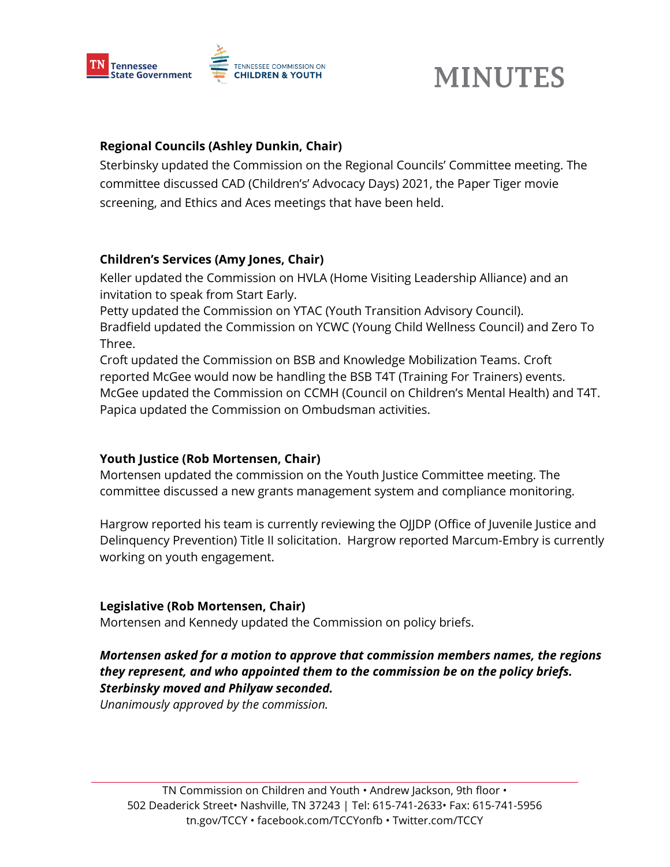

# **MINUTES**

## **Regional Councils (Ashley Dunkin, Chair)**

Sterbinsky updated the Commission on the Regional Councils' Committee meeting. The committee discussed CAD (Children's' Advocacy Days) 2021, the Paper Tiger movie screening, and Ethics and Aces meetings that have been held.

## **Children's Services (Amy Jones, Chair)**

Keller updated the Commission on HVLA (Home Visiting Leadership Alliance) and an invitation to speak from Start Early.

Petty updated the Commission on YTAC (Youth Transition Advisory Council). Bradfield updated the Commission on YCWC (Young Child Wellness Council) and Zero To Three.

Croft updated the Commission on BSB and Knowledge Mobilization Teams. Croft reported McGee would now be handling the BSB T4T (Training For Trainers) events. McGee updated the Commission on CCMH (Council on Children's Mental Health) and T4T. Papica updated the Commission on Ombudsman activities.

## **Youth Justice (Rob Mortensen, Chair)**

Mortensen updated the commission on the Youth Justice Committee meeting. The committee discussed a new grants management system and compliance monitoring.

Hargrow reported his team is currently reviewing the OJJDP (Office of Juvenile Justice and Delinquency Prevention) Title II solicitation. Hargrow reported Marcum-Embry is currently working on youth engagement.

## **Legislative (Rob Mortensen, Chair)**

Mortensen and Kennedy updated the Commission on policy briefs.

## *Mortensen asked for a motion to approve that commission members names, the regions they represent, and who appointed them to the commission be on the policy briefs. Sterbinsky moved and Philyaw seconded.*

*Unanimously approved by the commission.*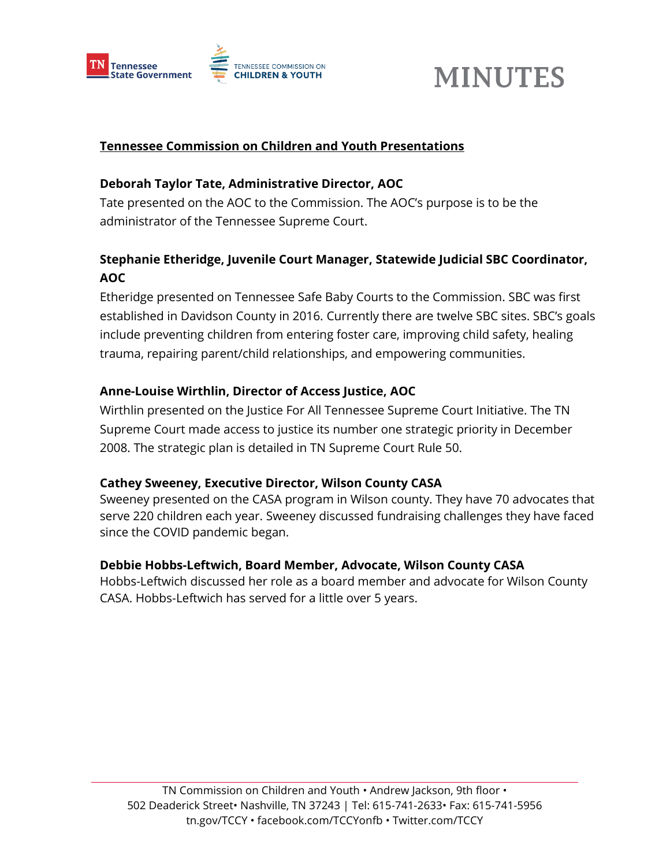



### **Tennessee Commission on Children and Youth Presentations**

### **Deborah Taylor Tate, Administrative Director, AOC**

Tate presented on the AOC to the Commission. The AOC's purpose is to be the administrator of the Tennessee Supreme Court.

# **Stephanie Etheridge, Juvenile Court Manager, Statewide Judicial SBC Coordinator, AOC**

Etheridge presented on Tennessee Safe Baby Courts to the Commission. SBC was first established in Davidson County in 2016. Currently there are twelve SBC sites. SBC's goals include preventing children from entering foster care, improving child safety, healing trauma, repairing parent/child relationships, and empowering communities.

## **Anne-Louise Wirthlin, Director of Access Justice, AOC**

Wirthlin presented on the Justice For All Tennessee Supreme Court Initiative. The TN Supreme Court made access to justice its number one strategic priority in December 2008. The strategic plan is detailed in TN Supreme Court Rule 50.

#### **Cathey Sweeney, Executive Director, Wilson County CASA**

Sweeney presented on the CASA program in Wilson county. They have 70 advocates that serve 220 children each year. Sweeney discussed fundraising challenges they have faced since the COVID pandemic began.

#### **Debbie Hobbs-Leftwich, Board Member, Advocate, Wilson County CASA**

Hobbs-Leftwich discussed her role as a board member and advocate for Wilson County CASA. Hobbs-Leftwich has served for a little over 5 years.